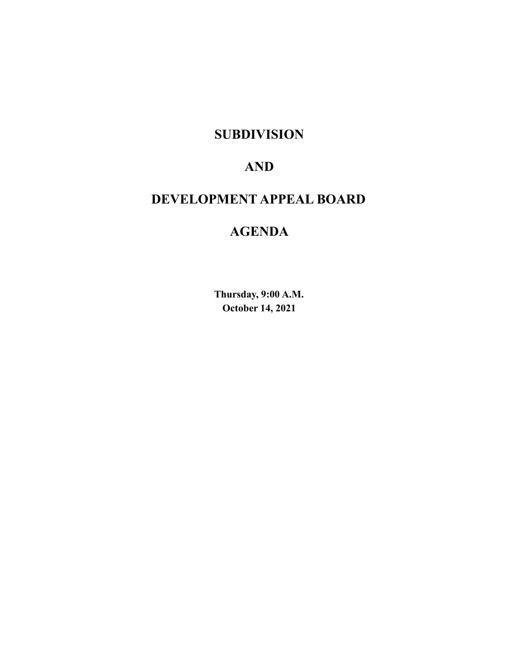## **SUBDIVISION**

## **AND**

## **DEVELOPMENT APPEAL BOARD**

## **AGENDA**

**Thursday, 9:00 A.M. October 14, 2021**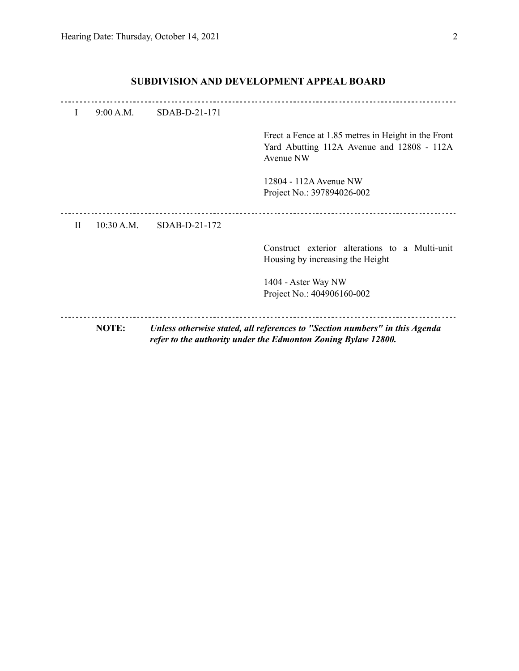|          |            |                 | 1404 - Aster Way NW<br>Project No.: 404906160-002                                                              |
|----------|------------|-----------------|----------------------------------------------------------------------------------------------------------------|
|          |            |                 | Construct exterior alterations to a Multi-unit<br>Housing by increasing the Height                             |
| $\rm II$ | 10:30 A.M. | $SDAB-D-21-172$ |                                                                                                                |
|          |            |                 | 12804 - 112A Avenue NW<br>Project No.: 397894026-002                                                           |
|          |            |                 | Erect a Fence at 1.85 metres in Height in the Front<br>Yard Abutting 112A Avenue and 12808 - 112A<br>Avenue NW |
| I        | 9:00 A.M.  | SDAB-D-21-171   |                                                                                                                |

### **SUBDIVISION AND DEVELOPMENT APPEAL BOARD**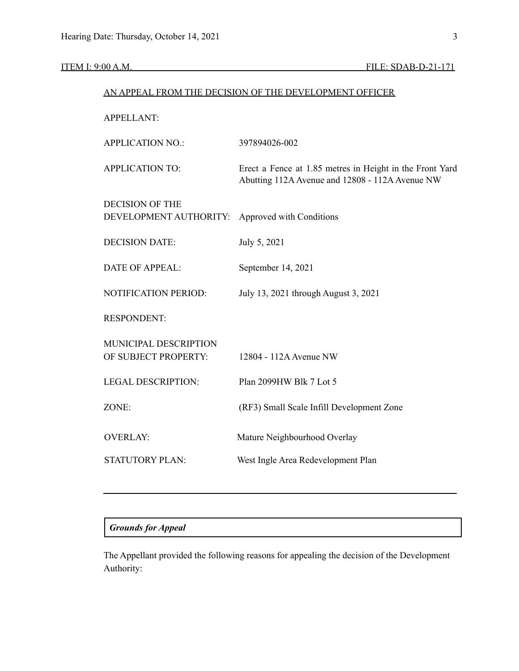### ITEM I: 9:00 A.M. FILE: SDAB-D-21-171

# AN APPEAL FROM THE DECISION OF THE DEVELOPMENT OFFICER APPELLANT: APPLICATION NO.: 397894026-002 APPLICATION TO: Erect a Fence at 1.85 metres in Height in the Front Yard Abutting 112A Avenue and 12808 - 112A Avenue NW DECISION OF THE DEVELOPMENT AUTHORITY: Approved with Conditions DECISION DATE: July 5, 2021 DATE OF APPEAL: September 14, 2021 NOTIFICATION PERIOD: July 13, 2021 through August 3, 2021 RESPONDENT: MUNICIPAL DESCRIPTION OF SUBJECT PROPERTY: 12804 - 112A Avenue NW LEGAL DESCRIPTION: Plan 2099HW Blk 7 Lot 5 ZONE: (RF3) Small Scale Infill Development Zone OVERLAY: Mature Neighbourhood Overlay STATUTORY PLAN: West Ingle Area Redevelopment Plan

### *Grounds for Appeal*

The Appellant provided the following reasons for appealing the decision of the Development Authority: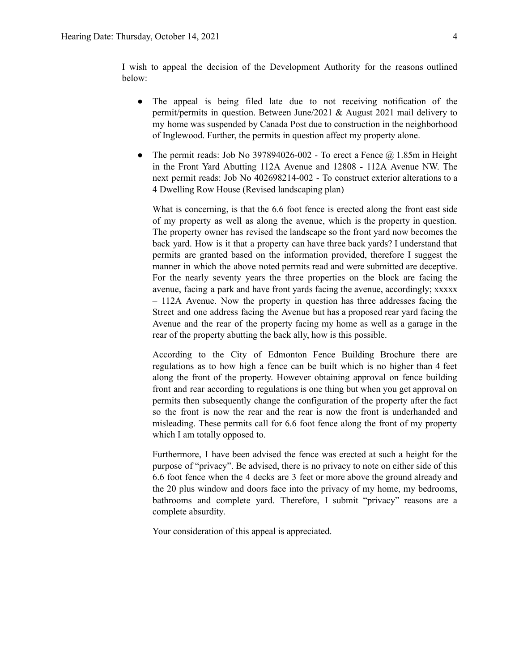I wish to appeal the decision of the Development Authority for the reasons outlined below:

- The appeal is being filed late due to not receiving notification of the permit/permits in question. Between June/2021 & August 2021 mail delivery to my home was suspended by Canada Post due to construction in the neighborhood of Inglewood. Further, the permits in question affect my property alone.
- The permit reads: Job No 397894026-002 To erect a Fence  $\omega$  1.85m in Height in the Front Yard Abutting 112A Avenue and 12808 - 112A Avenue NW. The next permit reads: Job No 402698214-002 - To construct exterior alterations to a 4 Dwelling Row House (Revised landscaping plan)

What is concerning, is that the 6.6 foot fence is erected along the front east side of my property as well as along the avenue, which is the property in question. The property owner has revised the landscape so the front yard now becomes the back yard. How is it that a property can have three back yards? I understand that permits are granted based on the information provided, therefore I suggest the manner in which the above noted permits read and were submitted are deceptive. For the nearly seventy years the three properties on the block are facing the avenue, facing a park and have front yards facing the avenue, accordingly; xxxxx – 112A Avenue. Now the property in question has three addresses facing the Street and one address facing the Avenue but has a proposed rear yard facing the Avenue and the rear of the property facing my home as well as a garage in the rear of the property abutting the back ally, how is this possible.

According to the City of Edmonton Fence Building Brochure there are regulations as to how high a fence can be built which is no higher than 4 feet along the front of the property. However obtaining approval on fence building front and rear according to regulations is one thing but when you get approval on permits then subsequently change the configuration of the property after the fact so the front is now the rear and the rear is now the front is underhanded and misleading. These permits call for 6.6 foot fence along the front of my property which I am totally opposed to.

Furthermore, I have been advised the fence was erected at such a height for the purpose of "privacy". Be advised, there is no privacy to note on either side of this 6.6 foot fence when the 4 decks are 3 feet or more above the ground already and the 20 plus window and doors face into the privacy of my home, my bedrooms, bathrooms and complete yard. Therefore, I submit "privacy" reasons are a complete absurdity.

Your consideration of this appeal is appreciated.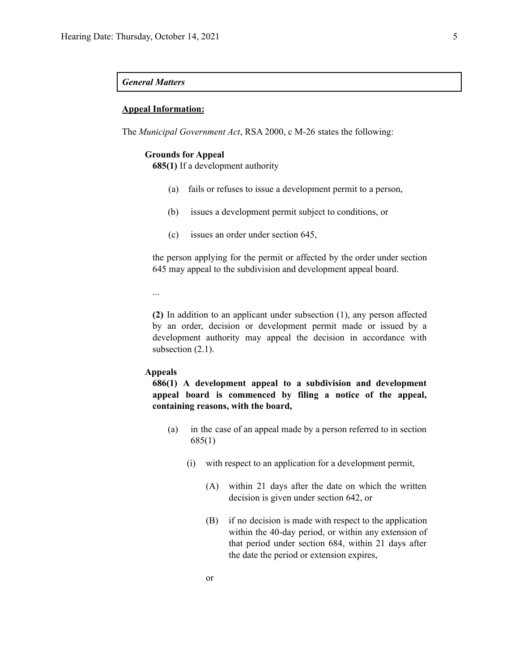### *General Matters*

### **Appeal Information:**

The *Municipal Government Act*, RSA 2000, c M-26 states the following:

### **Grounds for Appeal**

**685(1)** If a development authority

- (a) fails or refuses to issue a development permit to a person,
- (b) issues a development permit subject to conditions, or
- (c) issues an order under section 645,

the person applying for the permit or affected by the order under section 645 may appeal to the subdivision and development appeal board.

...

**(2)** In addition to an applicant under subsection (1), any person affected by an order, decision or development permit made or issued by a development authority may appeal the decision in accordance with subsection  $(2.1)$ .

### **Appeals**

**686(1) A development appeal to a subdivision and development appeal board is commenced by filing a notice of the appeal, containing reasons, with the board,**

- (a) in the case of an appeal made by a person referred to in section 685(1)
	- (i) with respect to an application for a development permit,
		- (A) within 21 days after the date on which the written decision is given under section 642, or
		- (B) if no decision is made with respect to the application within the 40-day period, or within any extension of that period under section 684, within 21 days after the date the period or extension expires,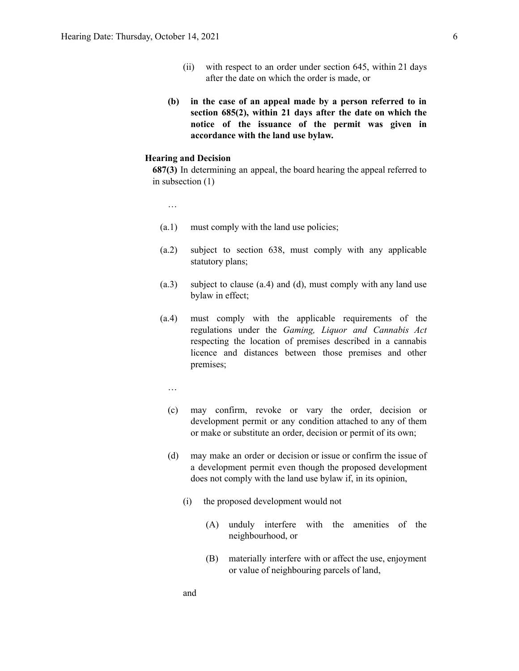- (ii) with respect to an order under section 645, within 21 days after the date on which the order is made, or
- **(b) in the case of an appeal made by a person referred to in section 685(2), within 21 days after the date on which the notice of the issuance of the permit was given in accordance with the land use bylaw.**

### **Hearing and Decision**

**687(3)** In determining an appeal, the board hearing the appeal referred to in subsection (1)

- …
- (a.1) must comply with the land use policies;
- (a.2) subject to section 638, must comply with any applicable statutory plans;
- (a.3) subject to clause (a.4) and (d), must comply with any land use bylaw in effect;
- (a.4) must comply with the applicable requirements of the regulations under the *Gaming, Liquor and Cannabis Act* respecting the location of premises described in a cannabis licence and distances between those premises and other premises;
	- …
	- (c) may confirm, revoke or vary the order, decision or development permit or any condition attached to any of them or make or substitute an order, decision or permit of its own;
	- (d) may make an order or decision or issue or confirm the issue of a development permit even though the proposed development does not comply with the land use bylaw if, in its opinion,
		- (i) the proposed development would not
			- (A) unduly interfere with the amenities of the neighbourhood, or
			- (B) materially interfere with or affect the use, enjoyment or value of neighbouring parcels of land,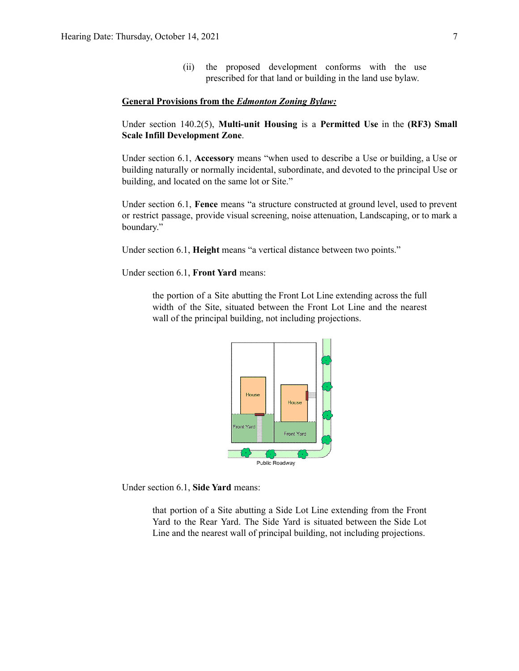(ii) the proposed development conforms with the use prescribed for that land or building in the land use bylaw.

#### **General Provisions from the** *Edmonton Zoning Bylaw:*

Under section 140.2(5), **Multi-unit Housing** is a **Permitted Use** in the **(RF3) Small Scale Infill Development Zone**.

Under section 6.1, **Accessory** means "when used to describe a Use or building, a Use or building naturally or normally incidental, subordinate, and devoted to the principal Use or building, and located on the same lot or Site."

Under section 6.1, **Fence** means "a structure constructed at ground level, used to prevent or restrict passage, provide visual screening, noise attenuation, Landscaping, or to mark a boundary."

Under section 6.1, **Height** means "a vertical distance between two points."

Under section 6.1, **Front Yard** means:

the portion of a Site abutting the Front Lot Line extending across the full width of the Site, situated between the Front Lot Line and the nearest wall of the principal building, not including projections.



Under section 6.1, **Side Yard** means:

that portion of a Site abutting a Side Lot Line extending from the Front Yard to the Rear Yard. The Side Yard is situated between the Side Lot Line and the nearest wall of principal building, not including projections.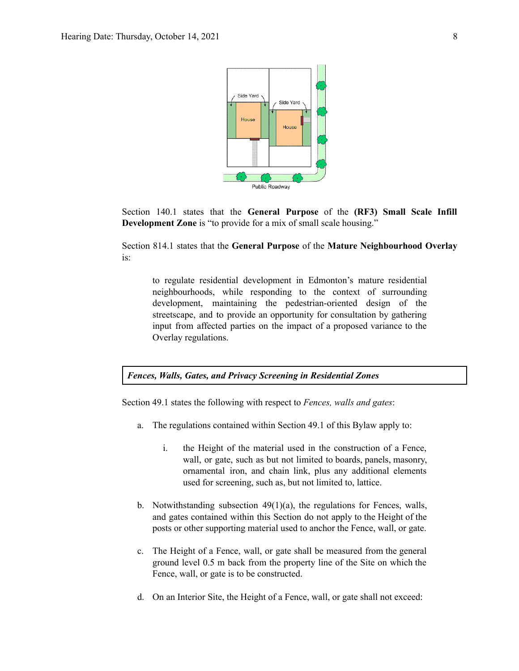

Section 140.1 states that the **General Purpose** of the **(RF3) Small Scale Infill Development Zone** is "to provide for a mix of small scale housing."

Section 814.1 states that the **General Purpose** of the **Mature Neighbourhood Overlay** is:

to regulate residential development in Edmonton's mature residential neighbourhoods, while responding to the context of surrounding development, maintaining the pedestrian-oriented design of the streetscape, and to provide an opportunity for consultation by gathering input from affected parties on the impact of a proposed variance to the Overlay regulations.

*Fences, Walls, Gates, and Privacy Screening in Residential Zones*

Section 49.1 states the following with respect to *Fences, walls and gates*:

- a. The regulations contained within Section 49.1 of this Bylaw apply to:
	- i. the Height of the material used in the construction of a Fence, wall, or gate, such as but not limited to boards, panels, masonry, ornamental iron, and chain link, plus any additional elements used for screening, such as, but not limited to, lattice.
- b. Notwithstanding subsection 49(1)(a), the regulations for Fences, walls, and gates contained within this Section do not apply to the Height of the posts or other supporting material used to anchor the Fence, wall, or gate.
- c. The Height of a Fence, wall, or gate shall be measured from the general ground level 0.5 m back from the property line of the Site on which the Fence, wall, or gate is to be constructed.
- d. On an Interior Site, the Height of a Fence, wall, or gate shall not exceed: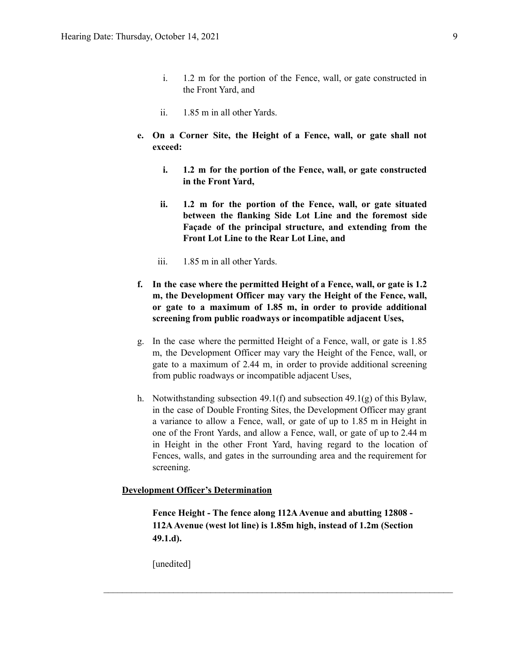- i. 1.2 m for the portion of the Fence, wall, or gate constructed in the Front Yard, and
- ii. 1.85 m in all other Yards.
- **e. On a Corner Site, the Height of a Fence, wall, or gate shall not exceed:**
	- **i. 1.2 m for the portion of the Fence, wall, or gate constructed in the Front Yard,**
	- **ii. 1.2 m for the portion of the Fence, wall, or gate situated between the flanking Side Lot Line and the foremost side Façade of the principal structure, and extending from the Front Lot Line to the Rear Lot Line, and**
	- iii. 1.85 m in all other Yards.
- **f. In the case where the permitted Height of a Fence, wall, or gate is 1.2 m, the Development Officer may vary the Height of the Fence, wall, or gate to a maximum of 1.85 m, in order to provide additional screening from public roadways or incompatible adjacent Uses,**
- g. In the case where the permitted Height of a Fence, wall, or gate is 1.85 m, the Development Officer may vary the Height of the Fence, wall, or gate to a maximum of 2.44 m, in order to provide additional screening from public roadways or incompatible adjacent Uses,
- h. Notwithstanding subsection 49.1(f) and subsection 49.1(g) of this Bylaw, in the case of Double Fronting Sites, the Development Officer may grant a variance to allow a Fence, wall, or gate of up to 1.85 m in Height in one of the Front Yards, and allow a Fence, wall, or gate of up to 2.44 m in Height in the other Front Yard, having regard to the location of Fences, walls, and gates in the surrounding area and the requirement for screening.

### **Development Officer's Determination**

**Fence Height - The fence along 112AAvenue and abutting 12808 - 112AAvenue (west lot line) is 1.85m high, instead of 1.2m (Section 49.1.d).**

 $\mathcal{L}_\text{max} = \frac{1}{2} \sum_{i=1}^n \mathcal{L}_\text{max} = \frac{1}{2} \sum_{i=1}^n \mathcal{L}_\text{max} = \frac{1}{2} \sum_{i=1}^n \mathcal{L}_\text{max} = \frac{1}{2} \sum_{i=1}^n \mathcal{L}_\text{max} = \frac{1}{2} \sum_{i=1}^n \mathcal{L}_\text{max} = \frac{1}{2} \sum_{i=1}^n \mathcal{L}_\text{max} = \frac{1}{2} \sum_{i=1}^n \mathcal{L}_\text{max} = \frac{1}{2} \sum_{i=$ 

[unedited]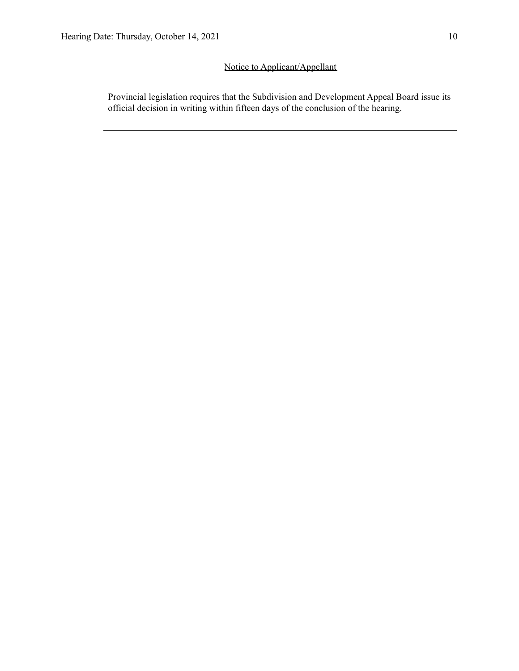### Notice to Applicant/Appellant

Provincial legislation requires that the Subdivision and Development Appeal Board issue its official decision in writing within fifteen days of the conclusion of the hearing.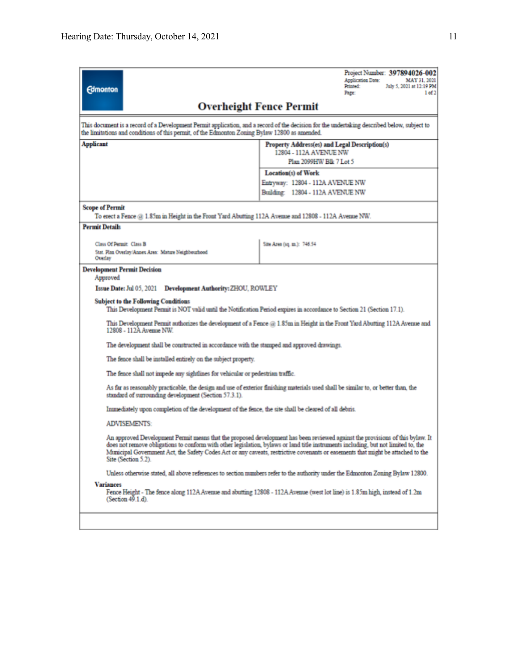| <b>Edmonton</b>                                                                                                                                                                                                                                                                                                                                                                                                               | Project Number: 397894026-002<br>Application Date:<br>MAY 31, 2021<br>Printed:<br>July 5, 2021 at 12:19 PM<br>1 of 2<br>Page:  |  |  |  |  |  |
|-------------------------------------------------------------------------------------------------------------------------------------------------------------------------------------------------------------------------------------------------------------------------------------------------------------------------------------------------------------------------------------------------------------------------------|--------------------------------------------------------------------------------------------------------------------------------|--|--|--|--|--|
|                                                                                                                                                                                                                                                                                                                                                                                                                               | <b>Overheight Fence Permit</b>                                                                                                 |  |  |  |  |  |
| This document is a record of a Development Permit application, and a record of the decision for the undertaking described below, subject to<br>the limitations and conditions of this permit, of the Edmonton Zoning Bylaw 12800 as amended.                                                                                                                                                                                  |                                                                                                                                |  |  |  |  |  |
| Applicant<br>Property Address(es) and Legal Description(s)<br>12804 - 112A AVENUE NW<br>Plan 2099HW Blk 7 Lot 5                                                                                                                                                                                                                                                                                                               |                                                                                                                                |  |  |  |  |  |
|                                                                                                                                                                                                                                                                                                                                                                                                                               | Location(s) of Work                                                                                                            |  |  |  |  |  |
|                                                                                                                                                                                                                                                                                                                                                                                                                               | Entryway: 12804 - 112A AVENUE NW                                                                                               |  |  |  |  |  |
|                                                                                                                                                                                                                                                                                                                                                                                                                               | Building: 12804 - 112A AVENUE NW                                                                                               |  |  |  |  |  |
|                                                                                                                                                                                                                                                                                                                                                                                                                               |                                                                                                                                |  |  |  |  |  |
| <b>Scope of Permit</b><br>To erect a Fence @ 1.85m in Height in the Front Yard Abutting 112A Avenue and 12808 - 112A Avenue NW.                                                                                                                                                                                                                                                                                               |                                                                                                                                |  |  |  |  |  |
| <b>Permit Details</b>                                                                                                                                                                                                                                                                                                                                                                                                         |                                                                                                                                |  |  |  |  |  |
| Class Of Permit: Class B                                                                                                                                                                                                                                                                                                                                                                                                      | Site Area (sq. m.): 746.54                                                                                                     |  |  |  |  |  |
| Stat. Plan Overlay/Annex Area: Mature Neighbourhood<br>Overlay                                                                                                                                                                                                                                                                                                                                                                |                                                                                                                                |  |  |  |  |  |
| <b>Development Permit Decision</b><br>Approved                                                                                                                                                                                                                                                                                                                                                                                |                                                                                                                                |  |  |  |  |  |
| <b>Development Authority: ZHOU, ROWLEY</b><br>Issue Date: Jul 05, 2021                                                                                                                                                                                                                                                                                                                                                        |                                                                                                                                |  |  |  |  |  |
| <b>Subject to the Following Conditions</b>                                                                                                                                                                                                                                                                                                                                                                                    | This Development Permit is NOT valid until the Notification Period expires in accordance to Section 21 (Section 17.1).         |  |  |  |  |  |
| This Development Permit authorizes the development of a Fence @ 1.85m in Height in the Front Yard Abutting 112A Avenue and<br>12808 - 112A Avenue NW.                                                                                                                                                                                                                                                                         |                                                                                                                                |  |  |  |  |  |
| The development shall be constructed in accordance with the stamped and approved drawings.                                                                                                                                                                                                                                                                                                                                    |                                                                                                                                |  |  |  |  |  |
| The fence shall be installed entirely on the subject property.                                                                                                                                                                                                                                                                                                                                                                |                                                                                                                                |  |  |  |  |  |
|                                                                                                                                                                                                                                                                                                                                                                                                                               | The fence shall not impede any sightlines for vehicular or pedestrian traffic.                                                 |  |  |  |  |  |
| As far as reasonably practicable, the design and use of exterior finishing materials used shall be similar to, or better than, the<br>standard of surrounding development (Section 57.3.1).                                                                                                                                                                                                                                   |                                                                                                                                |  |  |  |  |  |
| Immediately upon completion of the development of the fence, the site shall be cleared of all debris.                                                                                                                                                                                                                                                                                                                         |                                                                                                                                |  |  |  |  |  |
| <b>ADVISEMENTS:</b>                                                                                                                                                                                                                                                                                                                                                                                                           |                                                                                                                                |  |  |  |  |  |
| An approved Development Permit means that the proposed development has been reviewed against the provisions of this bylaw. It<br>does not remove obligations to conform with other legislation, bylaws or land title instruments including, but not limited to, the<br>Municipal Government Act, the Safety Codes Act or any caveats, restrictive covenants or easements that might be attached to the<br>Site (Section 5.2). |                                                                                                                                |  |  |  |  |  |
|                                                                                                                                                                                                                                                                                                                                                                                                                               | Unless otherwise stated, all above references to section numbers refer to the authority under the Edmonton Zoning Bylaw 12800. |  |  |  |  |  |
| <b>Variances</b><br>$(Section 49.1.d)$ .                                                                                                                                                                                                                                                                                                                                                                                      | Fence Height - The fence along 112A Avenue and abutting 12808 - 112A Avenue (west lot line) is 1.85m high, instead of 1.2m     |  |  |  |  |  |
|                                                                                                                                                                                                                                                                                                                                                                                                                               |                                                                                                                                |  |  |  |  |  |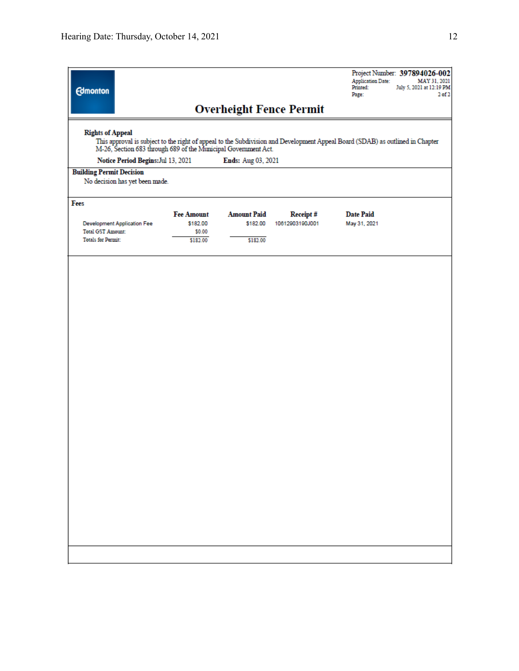| <b>Edmonton</b>                                                                                                                                                                                                                                                                        |                                    |                                                     |                                            |                                | <b>Application Date:</b><br>Printed:<br>Page: | Project Number: 397894026-002<br>MAY 31, 2021<br>July 5, 2021 at 12:19 PM<br>2 <sub>0</sub> f2 |  |
|----------------------------------------------------------------------------------------------------------------------------------------------------------------------------------------------------------------------------------------------------------------------------------------|------------------------------------|-----------------------------------------------------|--------------------------------------------|--------------------------------|-----------------------------------------------|------------------------------------------------------------------------------------------------|--|
|                                                                                                                                                                                                                                                                                        |                                    |                                                     |                                            | <b>Overheight Fence Permit</b> |                                               |                                                                                                |  |
| <b>Rights of Appeal</b><br>This approval is subject to the right of appeal to the Subdivision and Development Appeal Board (SDAB) as outlined in Chapter<br>M-26, Section 683 through 689 of the Municipal Government Act.<br>Notice Period Begins: Jul 13, 2021<br>Ends: Aug 03, 2021 |                                    |                                                     |                                            |                                |                                               |                                                                                                |  |
| <b>Building Permit Decision</b>                                                                                                                                                                                                                                                        | No decision has yet been made.     |                                                     |                                            |                                |                                               |                                                                                                |  |
| Fees                                                                                                                                                                                                                                                                                   |                                    |                                                     |                                            |                                |                                               |                                                                                                |  |
| <b>Total GST Amount:</b><br><b>Totals for Permit:</b>                                                                                                                                                                                                                                  | <b>Development Application Fee</b> | <b>Fee Amount</b><br>\$182.00<br>\$0.00<br>\$182.00 | <b>Amount Paid</b><br>\$182.00<br>\$182.00 | Receipt#<br>10612903190J001    | <b>Date Paid</b><br>May 31, 2021              |                                                                                                |  |
|                                                                                                                                                                                                                                                                                        |                                    |                                                     |                                            |                                |                                               |                                                                                                |  |
|                                                                                                                                                                                                                                                                                        |                                    |                                                     |                                            |                                |                                               |                                                                                                |  |
|                                                                                                                                                                                                                                                                                        |                                    |                                                     |                                            |                                |                                               |                                                                                                |  |
|                                                                                                                                                                                                                                                                                        |                                    |                                                     |                                            |                                |                                               |                                                                                                |  |
|                                                                                                                                                                                                                                                                                        |                                    |                                                     |                                            |                                |                                               |                                                                                                |  |
|                                                                                                                                                                                                                                                                                        |                                    |                                                     |                                            |                                |                                               |                                                                                                |  |
|                                                                                                                                                                                                                                                                                        |                                    |                                                     |                                            |                                |                                               |                                                                                                |  |
|                                                                                                                                                                                                                                                                                        |                                    |                                                     |                                            |                                |                                               |                                                                                                |  |
|                                                                                                                                                                                                                                                                                        |                                    |                                                     |                                            |                                |                                               |                                                                                                |  |
|                                                                                                                                                                                                                                                                                        |                                    |                                                     |                                            |                                |                                               |                                                                                                |  |
|                                                                                                                                                                                                                                                                                        |                                    |                                                     |                                            |                                |                                               |                                                                                                |  |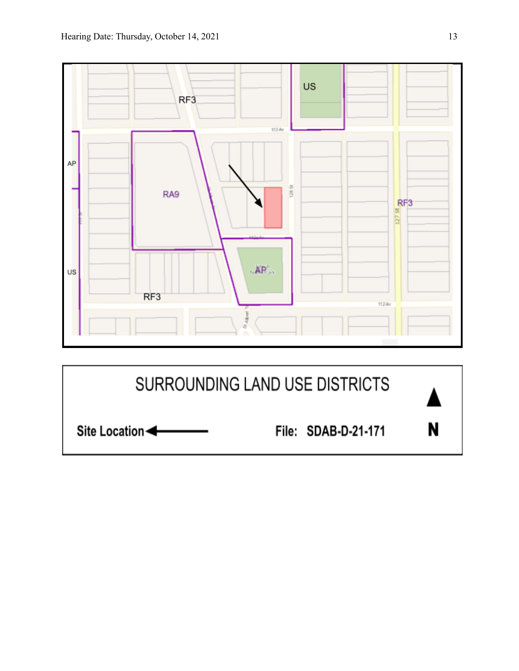

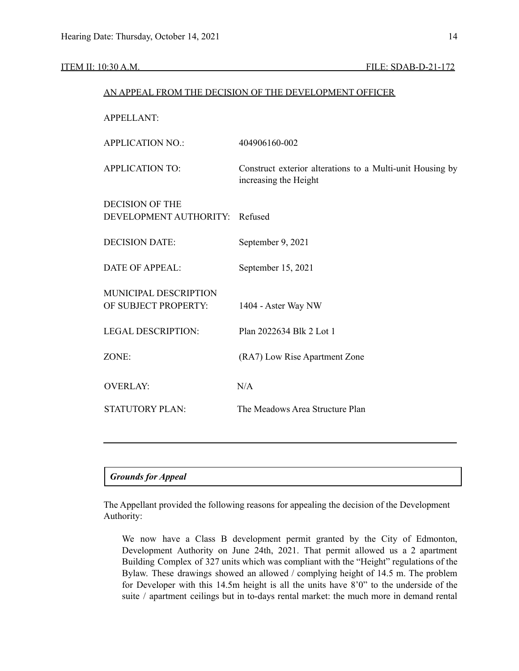### ITEM II: 10:30 A.M. FILE: SDAB-D-21-172

### AN APPEAL FROM THE DECISION OF THE DEVELOPMENT OFFICER

APPELLANT: APPLICATION NO.: 404906160-002 APPLICATION TO: Construct exterior alterations to a Multi-unit Housing by increasing the Height DECISION OF THE DEVELOPMENT AUTHORITY: Refused DECISION DATE: September 9, 2021 DATE OF APPEAL: September 15, 2021 MUNICIPAL DESCRIPTION OF SUBJECT PROPERTY: 1404 - Aster Way NW LEGAL DESCRIPTION: Plan 2022634 Blk 2 Lot 1 ZONE: (RA7) Low Rise Apartment Zone OVERLAY: N/A STATUTORY PLAN: The Meadows Area Structure Plan

### *Grounds for Appeal*

The Appellant provided the following reasons for appealing the decision of the Development Authority:

We now have a Class B development permit granted by the City of Edmonton, Development Authority on June 24th, 2021. That permit allowed us a 2 apartment Building Complex of 327 units which was compliant with the "Height" regulations of the Bylaw. These drawings showed an allowed / complying height of 14.5 m. The problem for Developer with this 14.5m height is all the units have 8'0" to the underside of the suite / apartment ceilings but in to-days rental market: the much more in demand rental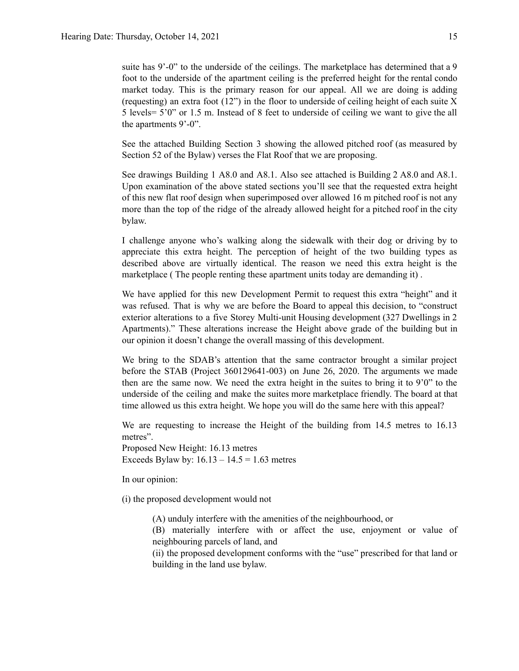suite has 9'-0" to the underside of the ceilings. The marketplace has determined that a 9 foot to the underside of the apartment ceiling is the preferred height for the rental condo market today. This is the primary reason for our appeal. All we are doing is adding (requesting) an extra foot  $(12)$ ") in the floor to underside of ceiling height of each suite X 5 levels= 5'0" or 1.5 m. Instead of 8 feet to underside of ceiling we want to give the all the apartments 9'-0".

See the attached Building Section 3 showing the allowed pitched roof (as measured by Section 52 of the Bylaw) verses the Flat Roof that we are proposing.

See drawings Building 1 A8.0 and A8.1. Also see attached is Building 2 A8.0 and A8.1. Upon examination of the above stated sections you'll see that the requested extra height of this new flat roof design when superimposed over allowed 16 m pitched roof is not any more than the top of the ridge of the already allowed height for a pitched roof in the city bylaw.

I challenge anyone who's walking along the sidewalk with their dog or driving by to appreciate this extra height. The perception of height of the two building types as described above are virtually identical. The reason we need this extra height is the marketplace ( The people renting these apartment units today are demanding it) .

We have applied for this new Development Permit to request this extra "height" and it was refused. That is why we are before the Board to appeal this decision, to "construct exterior alterations to a five Storey Multi-unit Housing development (327 Dwellings in 2 Apartments)." These alterations increase the Height above grade of the building but in our opinion it doesn't change the overall massing of this development.

We bring to the SDAB's attention that the same contractor brought a similar project before the STAB (Project 360129641-003) on June 26, 2020. The arguments we made then are the same now. We need the extra height in the suites to bring it to 9'0" to the underside of the ceiling and make the suites more marketplace friendly. The board at that time allowed us this extra height. We hope you will do the same here with this appeal?

We are requesting to increase the Height of the building from 14.5 metres to 16.13 metres".

Proposed New Height: 16.13 metres Exceeds Bylaw by:  $16.13 - 14.5 = 1.63$  metres

In our opinion:

(i) the proposed development would not

(A) unduly interfere with the amenities of the neighbourhood, or

(B) materially interfere with or affect the use, enjoyment or value of neighbouring parcels of land, and

(ii) the proposed development conforms with the "use" prescribed for that land or building in the land use bylaw.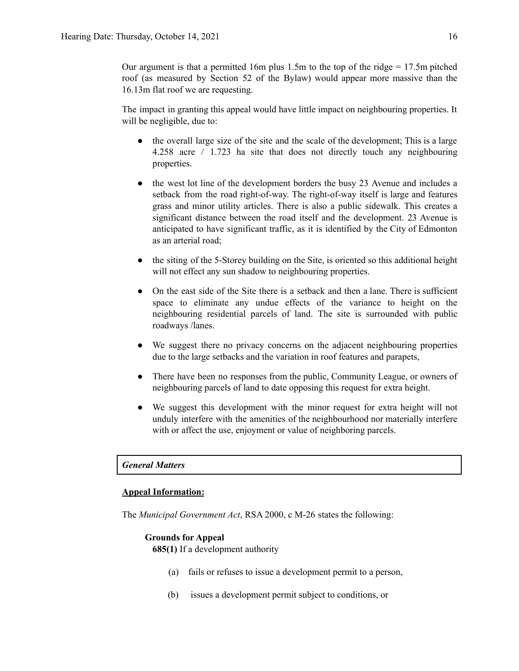Our argument is that a permitted 16m plus 1.5m to the top of the ridge  $= 17.5$ m pitched roof (as measured by Section 52 of the Bylaw) would appear more massive than the 16.13m flat roof we are requesting.

The impact in granting this appeal would have little impact on neighbouring properties. It will be negligible, due to:

- the overall large size of the site and the scale of the development; This is a large 4.258 acre / 1.723 ha site that does not directly touch any neighbouring properties.
- the west lot line of the development borders the busy 23 Avenue and includes a setback from the road right-of-way. The right-of-way itself is large and features grass and minor utility articles. There is also a public sidewalk. This creates a significant distance between the road itself and the development. 23 Avenue is anticipated to have significant traffic, as it is identified by the City of Edmonton as an arterial road;
- the siting of the 5-Storey building on the Site, is oriented so this additional height will not effect any sun shadow to neighbouring properties.
- On the east side of the Site there is a setback and then a lane. There is sufficient space to eliminate any undue effects of the variance to height on the neighbouring residential parcels of land. The site is surrounded with public roadways /lanes.
- We suggest there no privacy concerns on the adjacent neighbouring properties due to the large setbacks and the variation in roof features and parapets,
- There have been no responses from the public, Community League, or owners of neighbouring parcels of land to date opposing this request for extra height.
- We suggest this development with the minor request for extra height will not unduly interfere with the amenities of the neighbourhood nor materially interfere with or affect the use, enjoyment or value of neighboring parcels.

### *General Matters*

### **Appeal Information:**

The *Municipal Government Act*, RSA 2000, c M-26 states the following:

### **Grounds for Appeal**

**685(1)** If a development authority

- (a) fails or refuses to issue a development permit to a person,
- (b) issues a development permit subject to conditions, or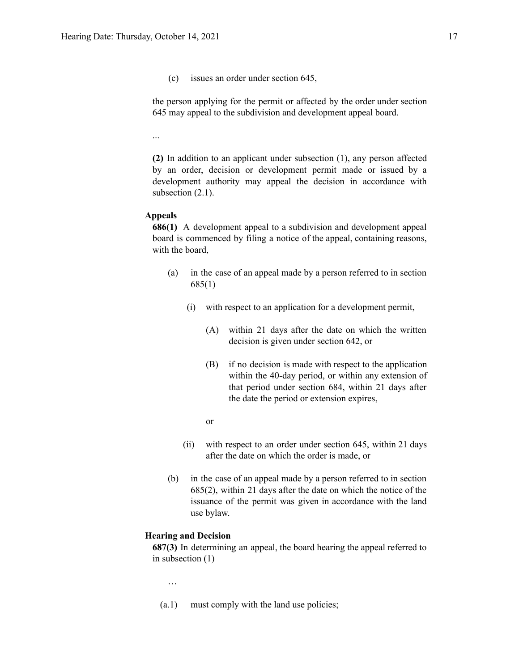(c) issues an order under section 645,

the person applying for the permit or affected by the order under section 645 may appeal to the subdivision and development appeal board.

...

**(2)** In addition to an applicant under subsection (1), any person affected by an order, decision or development permit made or issued by a development authority may appeal the decision in accordance with subsection  $(2.1)$ .

### **Appeals**

**686(1)** A development appeal to a subdivision and development appeal board is commenced by filing a notice of the appeal, containing reasons, with the board,

- (a) in the case of an appeal made by a person referred to in section 685(1)
	- (i) with respect to an application for a development permit,
		- (A) within 21 days after the date on which the written decision is given under section 642, or
		- (B) if no decision is made with respect to the application within the 40-day period, or within any extension of that period under section 684, within 21 days after the date the period or extension expires,
		- or
	- (ii) with respect to an order under section 645, within 21 days after the date on which the order is made, or
- (b) in the case of an appeal made by a person referred to in section 685(2), within 21 days after the date on which the notice of the issuance of the permit was given in accordance with the land use bylaw.

### **Hearing and Decision**

**687(3)** In determining an appeal, the board hearing the appeal referred to in subsection (1)

…

(a.1) must comply with the land use policies;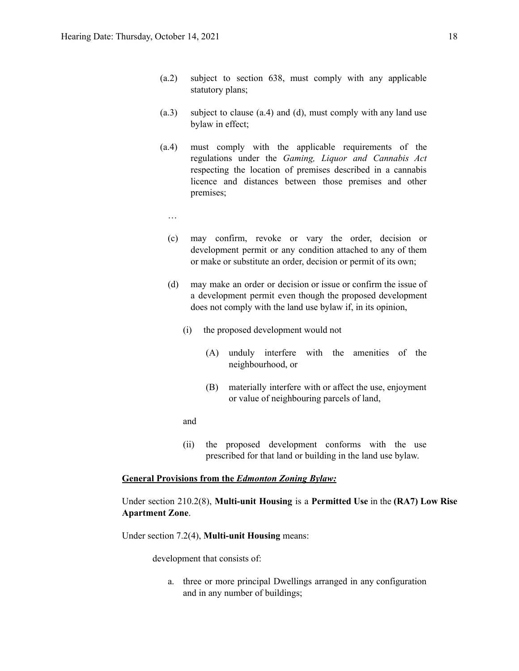- (a.2) subject to section 638, must comply with any applicable statutory plans;
- (a.3) subject to clause (a.4) and (d), must comply with any land use bylaw in effect;
- (a.4) must comply with the applicable requirements of the regulations under the *Gaming, Liquor and Cannabis Act* respecting the location of premises described in a cannabis licence and distances between those premises and other premises;
	- …
	- (c) may confirm, revoke or vary the order, decision or development permit or any condition attached to any of them or make or substitute an order, decision or permit of its own;
	- (d) may make an order or decision or issue or confirm the issue of a development permit even though the proposed development does not comply with the land use bylaw if, in its opinion,
		- (i) the proposed development would not
			- (A) unduly interfere with the amenities of the neighbourhood, or
			- (B) materially interfere with or affect the use, enjoyment or value of neighbouring parcels of land,

and

(ii) the proposed development conforms with the use prescribed for that land or building in the land use bylaw.

### **General Provisions from the** *Edmonton Zoning Bylaw:*

### Under section 210.2(8), **Multi-unit Housing** is a **Permitted Use** in the **(RA7) Low Rise Apartment Zone**.

Under section 7.2(4), **Multi-unit Housing** means:

development that consists of:

a. three or more principal Dwellings arranged in any configuration and in any number of buildings;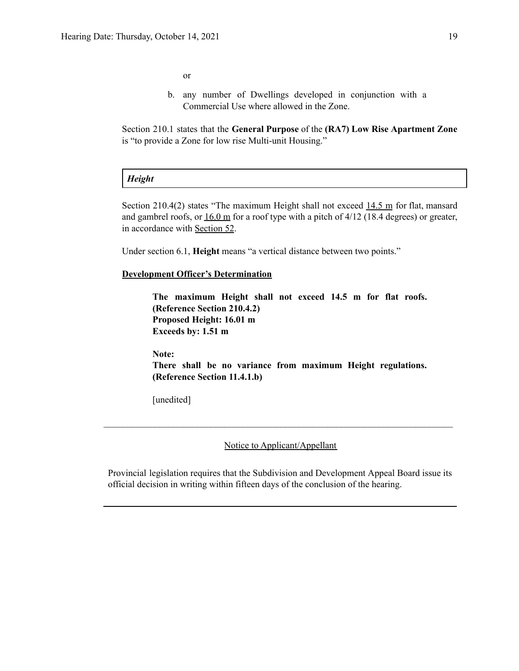or

b. any number of Dwellings developed in conjunction with a Commercial Use where allowed in the Zone.

Section 210.1 states that the **General Purpose** of the **(RA7) Low Rise Apartment Zone** is "to provide a Zone for low rise Multi-unit Housing."

# *Height*

Section 210.4(2) states "The maximum Height shall not exceed [14.5](https://webdocs.edmonton.ca/InfraPlan/zoningbylaw/ZoningBylaw/Measurements/im14.5.htm) m for flat, mansard and gambrel roofs, or  $16.0 \text{ m}$  $16.0 \text{ m}$  for a roof type with a pitch of  $4/12$  (18.4 degrees) or greater, in accordance with [Section](https://webdocs.edmonton.ca/InfraPlan/zoningbylaw/ZoningBylaw/Part1/Development/52__Height_and_Grade.htm) 52.

Under section 6.1, **Height** means "a vertical distance between two points."

### **Development Officer's Determination**

**The maximum Height shall not exceed 14.5 m for flat roofs. (Reference Section 210.4.2) Proposed Height: 16.01 m Exceeds by: 1.51 m**

**Note: There shall be no variance from maximum Height regulations. (Reference Section 11.4.1.b)**

[unedited]

Notice to Applicant/Appellant

 $\mathcal{L}_\text{max} = \frac{1}{2} \sum_{i=1}^n \mathcal{L}_\text{max} = \frac{1}{2} \sum_{i=1}^n \mathcal{L}_\text{max} = \frac{1}{2} \sum_{i=1}^n \mathcal{L}_\text{max} = \frac{1}{2} \sum_{i=1}^n \mathcal{L}_\text{max} = \frac{1}{2} \sum_{i=1}^n \mathcal{L}_\text{max} = \frac{1}{2} \sum_{i=1}^n \mathcal{L}_\text{max} = \frac{1}{2} \sum_{i=1}^n \mathcal{L}_\text{max} = \frac{1}{2} \sum_{i=$ 

Provincial legislation requires that the Subdivision and Development Appeal Board issue its official decision in writing within fifteen days of the conclusion of the hearing.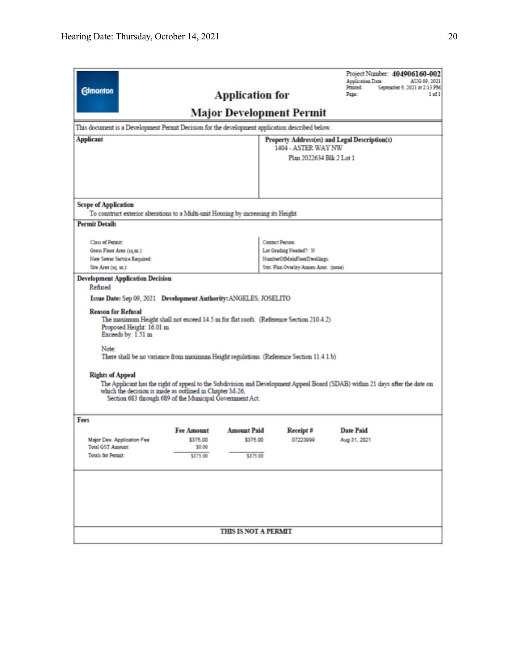| <b>Scope of Application</b><br>To construct exterior alterations to a Multi-unit Housing by increasing its Height.<br><b>Permit Details</b><br>Contact Person:<br>Class of Permit:<br>Gross Floor Area (sq.m.):<br>Lot Grading Needed?: N<br>New Sewer Service Required:<br>NumberOfMainFloorDwellings:<br>Stat. Plan Overlay/Annes Area: (none)<br>Site Area (sq. m.):<br><b>Development Application Decision</b><br>Refused<br>Issue Date: Sep 09, 2021 Development Authority: ANGELES, JOSELITO<br><b>Reason for Refusal</b><br>The maximum Height shall not exceed 14.5 m for flat roofs. (Reference Section 210.4.2)<br>Proposed Height: 16.01 m<br>Exceeds by: 1.51 m<br>Note:<br>There shall be no variance from maximum Height regulations. (Reference Section 11.4.1.b)<br><b>Rights of Appeal</b><br>The Applicant has the right of appeal to the Subdivision and Development Appeal Board (SDAB) within 21 days after the date on<br>which the decision is made as outlined in Chapter M-26,<br>Section 683 through 689 of the Municipal Government Act.<br>Fees<br><b>Fee Amount</b><br><b>Amount Paid</b><br><b>Date Paid</b><br>Receipt #<br>07223999<br>Major Dev. Application Fee<br>\$375.00<br>\$375.00<br>Aug 31, 2021<br><b>Total GST Amount:</b><br>\$0.00<br><b>Totals for Permit:</b><br>\$375.00<br>\$375.00 | <b>Edmonton</b><br>This document is a Development Permit Decision for the development application described below.<br><b>Applicant</b> |  | <b>Application for</b><br>Major Development Permit | 1404 - ASTER WAY NW<br>Plan 2022634 Blk 2 Lot 1 | Project Number: 404906160-002<br>Application Date:<br>AUG 09, 2021<br>Printed:<br>September 9, 2021 at 2:13 PM<br>1 of 1<br>Page:<br>Property Address(es) and Legal Description(s) |  |  |
|--------------------------------------------------------------------------------------------------------------------------------------------------------------------------------------------------------------------------------------------------------------------------------------------------------------------------------------------------------------------------------------------------------------------------------------------------------------------------------------------------------------------------------------------------------------------------------------------------------------------------------------------------------------------------------------------------------------------------------------------------------------------------------------------------------------------------------------------------------------------------------------------------------------------------------------------------------------------------------------------------------------------------------------------------------------------------------------------------------------------------------------------------------------------------------------------------------------------------------------------------------------------------------------------------------------------------------------|----------------------------------------------------------------------------------------------------------------------------------------|--|----------------------------------------------------|-------------------------------------------------|------------------------------------------------------------------------------------------------------------------------------------------------------------------------------------|--|--|
|                                                                                                                                                                                                                                                                                                                                                                                                                                                                                                                                                                                                                                                                                                                                                                                                                                                                                                                                                                                                                                                                                                                                                                                                                                                                                                                                      |                                                                                                                                        |  |                                                    |                                                 |                                                                                                                                                                                    |  |  |
|                                                                                                                                                                                                                                                                                                                                                                                                                                                                                                                                                                                                                                                                                                                                                                                                                                                                                                                                                                                                                                                                                                                                                                                                                                                                                                                                      |                                                                                                                                        |  |                                                    |                                                 |                                                                                                                                                                                    |  |  |
|                                                                                                                                                                                                                                                                                                                                                                                                                                                                                                                                                                                                                                                                                                                                                                                                                                                                                                                                                                                                                                                                                                                                                                                                                                                                                                                                      |                                                                                                                                        |  |                                                    |                                                 |                                                                                                                                                                                    |  |  |
|                                                                                                                                                                                                                                                                                                                                                                                                                                                                                                                                                                                                                                                                                                                                                                                                                                                                                                                                                                                                                                                                                                                                                                                                                                                                                                                                      |                                                                                                                                        |  |                                                    |                                                 |                                                                                                                                                                                    |  |  |
|                                                                                                                                                                                                                                                                                                                                                                                                                                                                                                                                                                                                                                                                                                                                                                                                                                                                                                                                                                                                                                                                                                                                                                                                                                                                                                                                      |                                                                                                                                        |  |                                                    |                                                 |                                                                                                                                                                                    |  |  |
|                                                                                                                                                                                                                                                                                                                                                                                                                                                                                                                                                                                                                                                                                                                                                                                                                                                                                                                                                                                                                                                                                                                                                                                                                                                                                                                                      |                                                                                                                                        |  |                                                    |                                                 |                                                                                                                                                                                    |  |  |
|                                                                                                                                                                                                                                                                                                                                                                                                                                                                                                                                                                                                                                                                                                                                                                                                                                                                                                                                                                                                                                                                                                                                                                                                                                                                                                                                      |                                                                                                                                        |  |                                                    |                                                 |                                                                                                                                                                                    |  |  |
| <b>THIS IS NOT A PERMIT</b>                                                                                                                                                                                                                                                                                                                                                                                                                                                                                                                                                                                                                                                                                                                                                                                                                                                                                                                                                                                                                                                                                                                                                                                                                                                                                                          |                                                                                                                                        |  |                                                    |                                                 |                                                                                                                                                                                    |  |  |